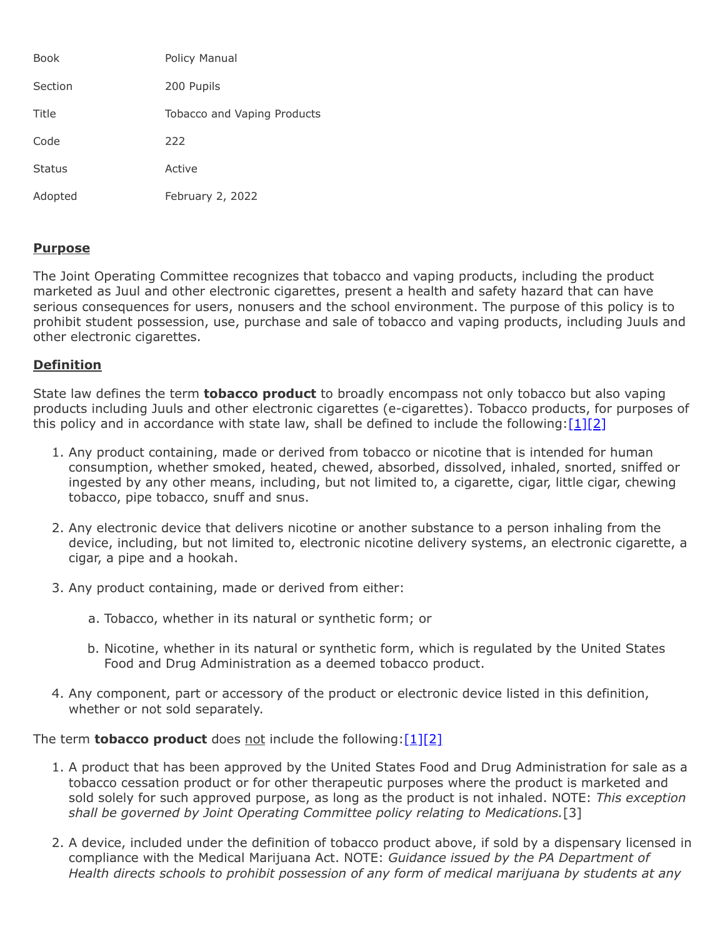| <b>Book</b>   | Policy Manual               |
|---------------|-----------------------------|
| Section       | 200 Pupils                  |
| Title         | Tobacco and Vaping Products |
| Code          | 222                         |
| <b>Status</b> | Active                      |
| Adopted       | February 2, 2022            |

### **Purpose**

The Joint Operating Committee recognizes that tobacco and vaping products, including the product marketed as Juul and other electronic cigarettes, present a health and safety hazard that can have serious consequences for users, nonusers and the school environment. The purpose of this policy is to prohibit student possession, use, purchase and sale of tobacco and vaping products, including Juuls and other electronic cigarettes.

### **Definition**

State law defines the term **tobacco product** to broadly encompass not only tobacco but also vaping products including Juuls and other electronic cigarettes (e-cigarettes). Tobacco products, for purposes of this policy and in accordance with state law, shall be defined to include the following: $[1][2]$  $[1][2]$ 

- 1. Any product containing, made or derived from tobacco or nicotine that is intended for human consumption, whether smoked, heated, chewed, absorbed, dissolved, inhaled, snorted, sniffed or ingested by any other means, including, but not limited to, a cigarette, cigar, little cigar, chewing tobacco, pipe tobacco, snuff and snus.
- 2. Any electronic device that delivers nicotine or another substance to a person inhaling from the device, including, but not limited to, electronic nicotine delivery systems, an electronic cigarette, a cigar, a pipe and a hookah.
- 3. Any product containing, made or derived from either:
	- a. Tobacco, whether in its natural or synthetic form; or
	- b. Nicotine, whether in its natural or synthetic form, which is regulated by the United States Food and Drug Administration as a deemed tobacco product.
- 4. Any component, part or accessory of the product or electronic device listed in this definition, whether or not sold separately.

The term **tobacco product** does not include the following: [1][\[2\]](http://www.legis.state.pa.us/cfdocs/legis/LI/consCheck.cfm?txtType=HTM&ttl=18&div=0&chpt=63&sctn=6&subsctn=1)

- 1. A product that has been approved by the United States Food and Drug Administration for sale as a tobacco cessation product or for other therapeutic purposes where the product is marketed and sold solely for such approved purpose, as long as the product is not inhaled. NOTE: *This exception shall be governed by Joint Operating Committee policy relating to Medications.*[3]
- 2. A device, included under the definition of tobacco product above, if sold by a dispensary licensed in compliance with the Medical Marijuana Act. NOTE: *Guidance issued by the PA Department of Health directs schools to prohibit possession of any form of medical marijuana by students at any*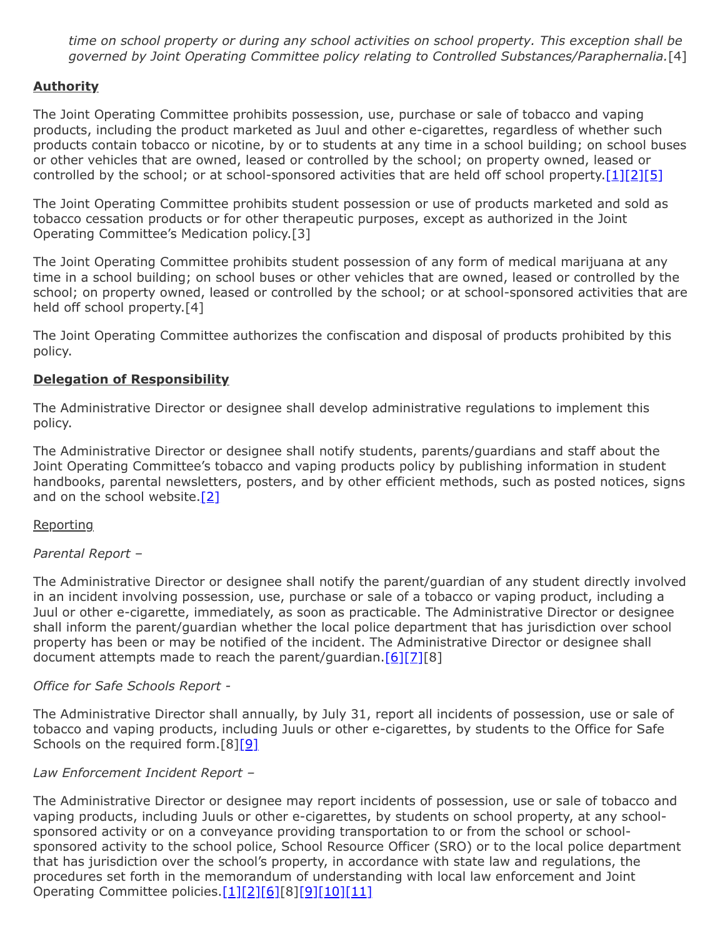*time on school property or during any school activities on school property. This exception shall be governed by Joint Operating Committee policy relating to Controlled Substances/Paraphernalia.*[4]

# **Authority**

The Joint Operating Committee prohibits possession, use, purchase or sale of tobacco and vaping products, including the product marketed as Juul and other e-cigarettes, regardless of whether such products contain tobacco or nicotine, by or to students at any time in a school building; on school buses or other vehicles that are owned, leased or controlled by the school; on property owned, leased or controlled by the school; or at school-sponsored activities that are held off school property[.\[1\]](http://www.legis.state.pa.us/cfdocs/legis/LI/consCheck.cfm?txtType=HTM&ttl=18&div=0&chpt=63&sctn=5&subsctn=0)[\[2\]](http://www.legis.state.pa.us/cfdocs/legis/LI/consCheck.cfm?txtType=HTM&ttl=18&div=0&chpt=63&sctn=6&subsctn=1)[\[5\]](https://www.law.cornell.edu/uscode/text/20/7973)

The Joint Operating Committee prohibits student possession or use of products marketed and sold as tobacco cessation products or for other therapeutic purposes, except as authorized in the Joint Operating Committee's Medication policy.[3]

The Joint Operating Committee prohibits student possession of any form of medical marijuana at any time in a school building; on school buses or other vehicles that are owned, leased or controlled by the school; on property owned, leased or controlled by the school; or at school-sponsored activities that are held off school property.[4]

The Joint Operating Committee authorizes the confiscation and disposal of products prohibited by this policy.

### **Delegation of Responsibility**

The Administrative Director or designee shall develop administrative regulations to implement this policy.

The Administrative Director or designee shall notify students, parents/guardians and staff about the Joint Operating Committee's tobacco and vaping products policy by publishing information in student handbooks, parental newsletters, posters, and by other efficient methods, such as posted notices, signs and on the school website. $[2]$ 

### **Reporting**

### *Parental Report –*

The Administrative Director or designee shall notify the parent/guardian of any student directly involved in an incident involving possession, use, purchase or sale of a tobacco or vaping product, including a Juul or other e-cigarette, immediately, as soon as practicable. The Administrative Director or designee shall inform the parent/guardian whether the local police department that has jurisdiction over school property has been or may be notified of the incident. The Administrative Director or designee shall document attempts made to reach the parent/guardian. $[6][7][8]$  $[6][7][8]$  $[6][7][8]$ 

### *Office for Safe Schools Report -*

The Administrative Director shall annually, by July 31, report all incidents of possession, use or sale of tobacco and vaping products, including Juuls or other e-cigarettes, by students to the Office for Safe Schools on the required form.[8[\]\[9\]](http://www.legis.state.pa.us/cfdocs/legis/LI/uconsCheck.cfm?txtType=HTM&yr=1949&sessInd=0&smthLwInd=0&act=14&chpt=13A&sctn=3&subsctn=0)

### *Law Enforcement Incident Report –*

The Administrative Director or designee may report incidents of possession, use or sale of tobacco and vaping products, including Juuls or other e-cigarettes, by students on school property, at any schoolsponsored activity or on a conveyance providing transportation to or from the school or schoolsponsored activity to the school police, School Resource Officer (SRO) or to the local police department that has jurisdiction over the school's property, in accordance with state law and regulations, the procedures set forth in the memorandum of understanding with local law enforcement and Joint Operating Committee policies.[\[1\]](http://www.legis.state.pa.us/cfdocs/legis/LI/consCheck.cfm?txtType=HTM&ttl=18&div=0&chpt=63&sctn=5&subsctn=0)[\[2\]](http://www.legis.state.pa.us/cfdocs/legis/LI/consCheck.cfm?txtType=HTM&ttl=18&div=0&chpt=63&sctn=6&subsctn=1)[\[6\]\[](http://pacodeandbulletin.gov/Display/pacode?file=/secure/pacode/data/022/chapter10/s10.2.html&d=reduce)8[\]\[9\]](http://www.legis.state.pa.us/cfdocs/legis/LI/uconsCheck.cfm?txtType=HTM&yr=1949&sessInd=0&smthLwInd=0&act=14&chpt=13A&sctn=3&subsctn=0)[\[10\]](http://pacodeandbulletin.gov/Display/pacode?file=/secure/pacode/data/022/chapter10/s10.22.html&d=reduce)[\[11\]](http://www.legis.state.pa.us/cfdocs/legis/LI/uconsCheck.cfm?txtType=HTM&yr=1949&sessInd=0&smthLwInd=0&act=14&chpt=13A&sctn=2&subsctn=1)